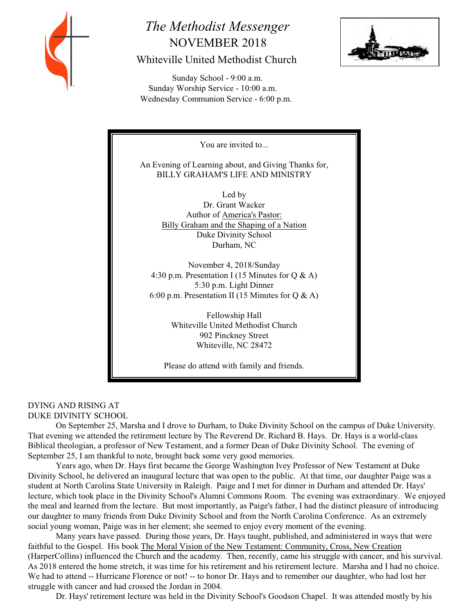

# *The Methodist Messenger* NOVEMBER 2018 Whiteville United Methodist Church

**PTTF PASS** 

 Sunday School - 9:00 a.m. Sunday Worship Service - 10:00 a.m. Wednesday Communion Service - 6:00 p.m.



# DYING AND RISING AT DUKE DIVINITY SCHOOL

On September 25, Marsha and I drove to Durham, to Duke Divinity School on the campus of Duke University. That evening we attended the retirement lecture by The Reverend Dr. Richard B. Hays. Dr. Hays is a world-class Biblical theologian, a professor of New Testament, and a former Dean of Duke Divinity School. The evening of September 25, I am thankful to note, brought back some very good memories.

Years ago, when Dr. Hays first became the George Washington Ivey Professor of New Testament at Duke Divinity School, he delivered an inaugural lecture that was open to the public. At that time, our daughter Paige was a student at North Carolina State University in Raleigh. Paige and I met for dinner in Durham and attended Dr. Hays' lecture, which took place in the Divinity School's Alumni Commons Room. The evening was extraordinary. We enjoyed the meal and learned from the lecture. But most importantly, as Paige's father, I had the distinct pleasure of introducing our daughter to many friends from Duke Divinity School and from the North Carolina Conference. As an extremely social young woman, Paige was in her element; she seemed to enjoy every moment of the evening.

Many years have passed. During those years, Dr. Hays taught, published, and administered in ways that were faithful to the Gospel. His book The Moral Vision of the New Testament: Community, Cross, New Creation (HarperCollins) influenced the Church and the academy. Then, recently, came his struggle with cancer, and his survival. As 2018 entered the home stretch, it was time for his retirement and his retirement lecture. Marsha and I had no choice. We had to attend -- Hurricane Florence or not! -- to honor Dr. Hays and to remember our daughter, who had lost her struggle with cancer and had crossed the Jordan in 2004.

Dr. Hays' retirement lecture was held in the Divinity School's Goodson Chapel. It was attended mostly by his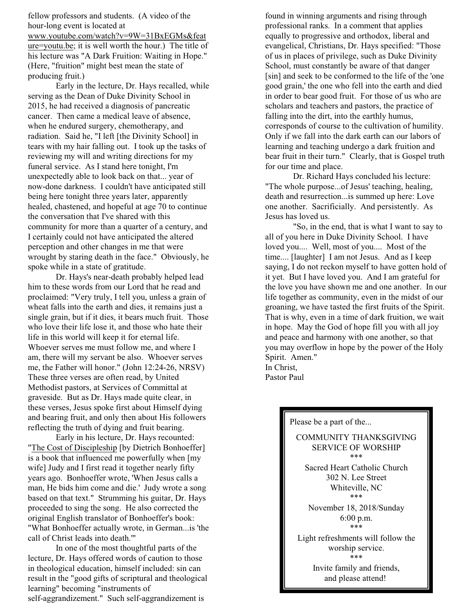fellow professors and students. (A video of the hour-long event is located at www.youtube.com/watch?v=9W=31BxEGMs&feat ure=youtu.be; it is well worth the hour.) The title of his lecture was "A Dark Fruition: Waiting in Hope." (Here, "fruition" might best mean the state of producing fruit.)

Early in the lecture, Dr. Hays recalled, while serving as the Dean of Duke Divinity School in 2015, he had received a diagnosis of pancreatic cancer. Then came a medical leave of absence, when he endured surgery, chemotherapy, and radiation. Said he, "I left [the Divinity School] in tears with my hair falling out. I took up the tasks of reviewing my will and writing directions for my funeral service. As I stand here tonight, I'm unexpectedly able to look back on that... year of now-done darkness. I couldn't have anticipated still being here tonight three years later, apparently healed, chastened, and hopeful at age 70 to continue the conversation that I've shared with this community for more than a quarter of a century, and I certainly could not have anticipated the altered perception and other changes in me that were wrought by staring death in the face." Obviously, he spoke while in a state of gratitude.

Dr. Hays's near-death probably helped lead him to these words from our Lord that he read and proclaimed: "Very truly, I tell you, unless a grain of wheat falls into the earth and dies, it remains just a single grain, but if it dies, it bears much fruit. Those who love their life lose it, and those who hate their life in this world will keep it for eternal life. Whoever serves me must follow me, and where I am, there will my servant be also. Whoever serves me, the Father will honor." (John 12:24-26, NRSV) These three verses are often read, by United Methodist pastors, at Services of Committal at graveside. But as Dr. Hays made quite clear, in these verses, Jesus spoke first about Himself dying and bearing fruit, and only then about His followers reflecting the truth of dying and fruit bearing.

Early in his lecture, Dr. Hays recounted: "The Cost of Discipleship [by Dietrich Bonhoeffer] is a book that influenced me powerfully when [my wife] Judy and I first read it together nearly fifty years ago. Bonhoeffer wrote, 'When Jesus calls a man, He bids him come and die.' Judy wrote a song based on that text." Strumming his guitar, Dr. Hays proceeded to sing the song. He also corrected the original English translator of Bonhoeffer's book: "What Bonhoeffer actually wrote, in German...is 'the call of Christ leads into death.'"

In one of the most thoughtful parts of the lecture, Dr. Hays offered words of caution to those in theological education, himself included: sin can result in the "good gifts of scriptural and theological learning" becoming "instruments of self-aggrandizement." Such self-aggrandizement is

found in winning arguments and rising through professional ranks. In a comment that applies equally to progressive and orthodox, liberal and evangelical, Christians, Dr. Hays specified: "Those of us in places of privilege, such as Duke Divinity School, must constantly be aware of that danger [sin] and seek to be conformed to the life of the 'one good grain,' the one who fell into the earth and died in order to bear good fruit. For those of us who are scholars and teachers and pastors, the practice of falling into the dirt, into the earthly humus, corresponds of course to the cultivation of humility. Only if we fall into the dark earth can our labors of learning and teaching undergo a dark fruition and bear fruit in their turn." Clearly, that is Gospel truth for our time and place.

Dr. Richard Hays concluded his lecture: "The whole purpose...of Jesus' teaching, healing, death and resurrection...is summed up here: Love one another. Sacrificially. And persistently. As Jesus has loved us.

"So, in the end, that is what I want to say to all of you here in Duke Divinity School. I have loved you.... Well, most of you.... Most of the time.... [laughter] I am not Jesus. And as I keep saying, I do not reckon myself to have gotten hold of it yet. But I have loved you. And I am grateful for the love you have shown me and one another. In our life together as community, even in the midst of our groaning, we have tasted the first fruits of the Spirit. That is why, even in a time of dark fruition, we wait in hope. May the God of hope fill you with all joy and peace and harmony with one another, so that you may overflow in hope by the power of the Holy Spirit. Amen." In Christ,

Pastor Paul

Please be a part of the...

COMMUNITY THANKSGIVING SERVICE OF WORSHIP \*\*\* Sacred Heart Catholic Church 302 N. Lee Street Whiteville, NC \*\*\* November 18, 2018/Sunday 6:00 p.m. \*\*\* Light refreshments will follow the worship service. \*\*\* Invite family and friends, and please attend!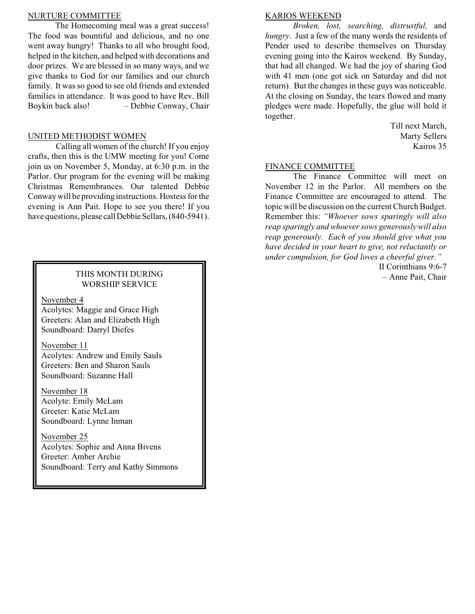#### NURTURE COMMITTEE

The Homecoming meal was a great success! The food was bountiful and delicious, and no one went away hungry! Thanks to all who brought food, helped in the kitchen, and helped with decorations and door prizes. We are blessed in so many ways, and we give thanks to God for our families and our church family. It was so good to see old friends and extended families in attendance. It was good to have Rev. Bill Boykin back also! – Debbie Conway, Chair

#### UNITED METHODIST WOMEN

Calling all women of the church! If you enjoy crafts, then this is the UMW meeting for you! Come join us on November 5, Monday, at 6:30 p.m. in the Parlor. Our program for the evening will be making Christmas Remembrances. Our talented Debbie Conway will be providing instructions. Hostess for the evening is Ann Pait. Hope to see you there! If you have questions, please call Debbie Sellars, (840-5941).

## THIS MONTH DURING WORSHIP SERVICE

November 4

Acolytes: Maggie and Grace High Greeters: Alan and Elizabeth High Soundboard: Darryl Diefes

November 11 Acolytes: Andrew and Emily Sauls Greeters: Ben and Sharon Sauls Soundboard: Suzanne Hall

November 18 Acolyte: Emily McLam Greeter: Katie McLam Soundboard: Lynne Inman

November 25 Acolytes: Sophie and Anna Bivens Greeter: Amber Archie Soundboard: Terry and Kathy Simmons

### KARIOS WEEKEND

*Broken, lost, searching, distrustful,* and *hungry*. Just a few of the many words the residents of Pender used to describe themselves on Thursday evening going into the Kairos weekend. By Sunday, that had all changed. We had the joy of sharing God with 41 men (one got sick on Saturday and did not return). But the changes in these guys was noticeable. At the closing on Sunday, the tears flowed and many pledges were made. Hopefully, the glue will hold it together.

> Till next March, Marty Sellers Kairos 35

#### FINANCE COMMITTEE

The Finance Committee will meet on November 12 in the Parlor. All members on the Finance Committee are encouraged to attend. The topic will be discussion on the current Church Budget. Remember this: *"Whoever sows sparingly will also reap sparingly and whoeversows generously will also reap generously. Each of you should give what you have decided in your heart to give, not reluctantly or under compulsion, for God loves a cheerful giver."*

> II Corinthians 9:6-7 – Anne Pait, Chair